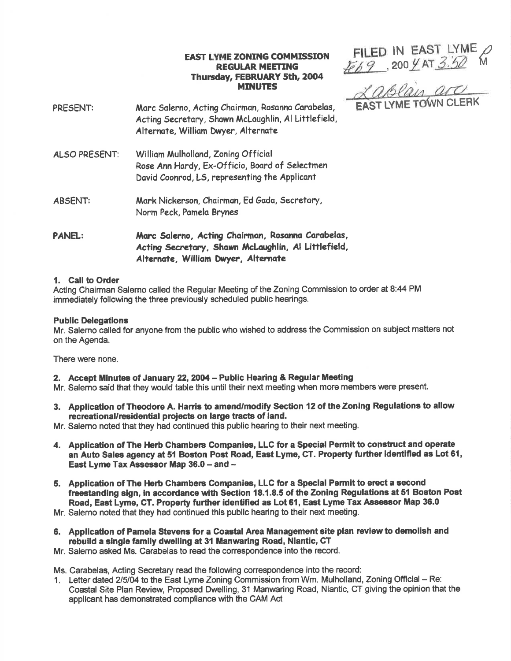# **EAST LYME ZONING COMMISSION REGULAR MEETING** Thursday, FEBRUARY 5th, 2004 **MINUTES**

FILED IN EAST LYME<br> $E69$ , 200  $Y$  AT 3.50

Laslais arc

- Marc Salerno, Acting Chairman, Rosanna Carabelas, **PRESENT:** Acting Secretary, Shawn McLaughlin, Al Littlefield, Alternate, William Dwyer, Alternate
- **ALSO PRESENT:** William Mulholland, Zoning Official Rose Ann Hardy, Ex-Officio, Board of Selectmen David Coonrod, LS, representing the Applicant
- Mark Nickerson, Chairman, Ed Gada, Secretary, **ABSENT:** Norm Peck, Pamela Brynes
- **PANEL:** Marc Salerno, Acting Chairman, Rosanna Carabelas, Acting Secretary, Shawn McLaughlin, Al Littlefield, Alternate, William Dwyer, Alternate

## 1. Call to Order

Acting Chairman Salerno called the Regular Meeting of the Zoning Commission to order at 8:44 PM immediately following the three previously scheduled public hearings.

### **Public Delegations**

Mr. Salerno called for anyone from the public who wished to address the Commission on subject matters not on the Agenda.

There were none.

2. Accept Minutes of January 22, 2004 - Public Hearing & Regular Meeting

Mr. Salerno said that they would table this until their next meeting when more members were present.

3. Application of Theodore A. Harris to amend/modify Section 12 of the Zoning Regulations to allow recreational/residential projects on large tracts of land.

Mr. Salerno noted that they had continued this public hearing to their next meeting.

- 4. Application of The Herb Chambers Companies, LLC for a Special Permit to construct and operate an Auto Sales agency at 51 Boston Post Road, East Lyme, CT. Property further identified as Lot 61, East Lyme Tax Assessor Map 36.0 - and -
- 5. Application of The Herb Chambers Companies, LLC for a Special Permit to erect a second freestanding sign, in accordance with Section 18.1.8.5 of the Zoning Regulations at 51 Boston Post Road, East Lyme, CT, Property further identified as Lot 61, East Lyme Tax Assessor Map 36.0
- Mr. Salerno noted that they had continued this public hearing to their next meeting.
- 6. Application of Pamela Stevens for a Coastal Area Management site plan review to demolish and rebuild a single family dwelling at 31 Manwaring Road, Niantic, CT
- Mr. Salerno asked Ms. Carabelas to read the correspondence into the record.

Ms. Carabelas, Acting Secretary read the following correspondence into the record:

1. Letter dated 2/5/04 to the East Lyme Zoning Commission from Wm. Mulholland, Zoning Official - Re: Coastal Site Plan Review, Proposed Dwelling, 31 Manwaring Road, Niantic, CT giving the opinion that the applicant has demonstrated compliance with the CAM Act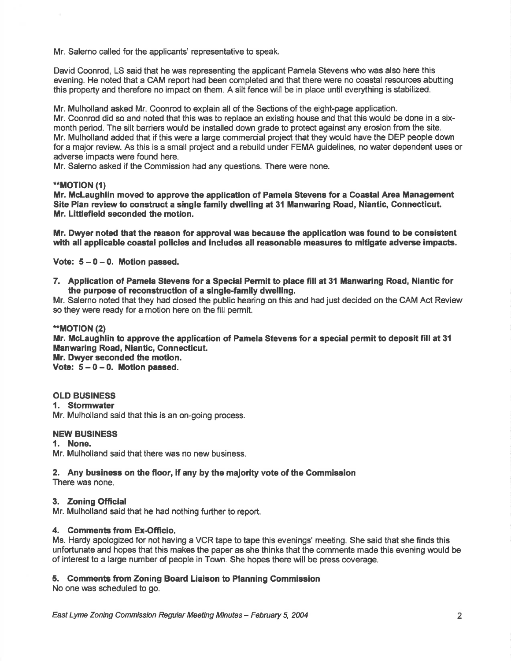Mr. Salerno called for the applicants' representative to speak.

David Goonrod, LS said that he was representing the applicant Pamela Stevens who was also here this evening. He noted that a CAM report had been completed and that there were no coastal resources abutting this property and therefore no impact on them. A silt fence will be in place until everything is stabilized.

Mr. Mulholland asked Mr. Coonrod to explain all of the Sections of the eight-page application.

Mr. Coonrod did so and noted that this was to replace an existing house and that this would be done in a sixmonth period. The silt barriers would be installed down grade to protect against any erosion from the site. Mr. Mulholland added that if this were a large commercial project that they would have the DEP people down for a major review. As this is a small project and a rebuild under FEMA guidelines, no water dependent uses or adverse impacts were found here.

Mr. Salerno asked if the Commission had any questions. There were none.

### \*MOTION (1)

Mr. McLaughlin moved to approve the application of Pamela Stevens for a Coastal Area Management Site Plan review to construct a single family dwelling at 3l Manwaring Road, Niantic, Connecticut. Mr. Littlefield seconded the motion.

Mr. Dwyer noted that the reason for approval was because the application was found to be consistent with all applicable coastal policies and includes all reasonable measures to mitigate adverse impacts.

## Vote:  $5 - 0 - 0$ . Motion passed.

7. Application of Pamela Stevens for a Special Permit to place fill at 31 Manwaring Road, Niantic for the purpose of reconstruction of a single-family dwelling.

Mr. Salerno noted that they had closed the public hearing on this and had just decided on the CAM Act Review so they were ready for a motion here on the fill permit.

### \*MOT|ON (2)

Mr. McLaughlin to approve the application of Pamela Stevens for a special permit to deposit fill at 3{ Manwaring Road, Niantic, Connecticut.

Mr. Dwyer seconded the motion.

Vote:  $5-0-0$ . Motion passed.

## OLD BUSINESS

1. Stormwater

Mr. Mulholland said that this is an on-going process.

# NEW BUSINESS<br>1. None.

Mr. Mulholland said that there was no new business.

### 2. Any business on the floor, if any by the majority vote of the Commission

There was none.

### 3. Zoning Official

Mr. Mulholland said that he had nothing further to report.

### 4. Comments fiom Ex.Officio,

Ms. Hardy apologized for not having a VCR tape to tape this evenings' meeting. She said that she finds this unfortunate and hopes that this makes the paper as she thinks that the comments made this evening would be of interest to a large number of people in Town. She hopes there will be press coverage.

### 5. Gomments from Zoning Board Liaison to Planning Commission

No one was scheduled to go.